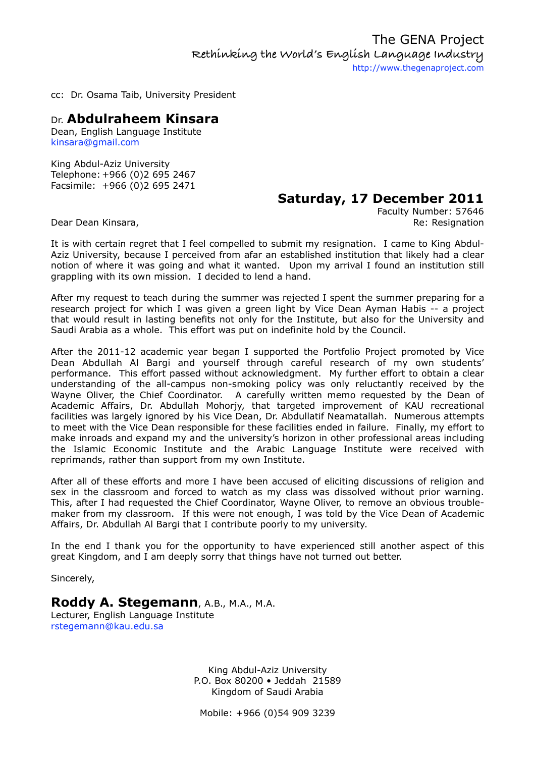cc: Dr. Osama Taib, University President

### Dr. **Abdulraheem Kinsara**

Dean, English Language Institute [kinsara@gmail.com](mailto:kinsara@gmail.com)

King Abdul-Aziz University Telephone: +966 (0)2 695 2467 Facsimile: +966 (0)2 695 2471

# **Saturday, 17 December 2011**

Faculty Number: 57646 Dear Dean Kinsara, **Resignation** Contract Contract Contract Contract Contract Contract Contract Contract Contract Contract Contract Contract Contract Contract Contract Contract Contract Contract Contract Contract Contract

It is with certain regret that I feel compelled to submit my resignation. I came to King Abdul-Aziz University, because I perceived from afar an established institution that likely had a clear notion of where it was going and what it wanted. Upon my arrival I found an institution still grappling with its own mission. I decided to lend a hand.

After my request to teach during the summer was rejected I spent the summer preparing for a research project for which I was given a green light by Vice Dean Ayman Habis -- a project that would result in lasting benefits not only for the Institute, but also for the University and Saudi Arabia as a whole. This effort was put on indefinite hold by the Council.

After the 2011-12 academic year began I supported the Portfolio Project promoted by Vice Dean Abdullah Al Bargi and yourself through careful research of my own students' performance. This effort passed without acknowledgment. My further effort to obtain a clear understanding of the all-campus non-smoking policy was only reluctantly received by the Wayne Oliver, the Chief Coordinator. A carefully written memo requested by the Dean of Academic Affairs, Dr. Abdullah Mohorjy, that targeted improvement of KAU recreational facilities was largely ignored by his Vice Dean, Dr. Abdullatif Neamatallah. Numerous attempts to meet with the Vice Dean responsible for these facilities ended in failure. Finally, my effort to make inroads and expand my and the university's horizon in other professional areas including the Islamic Economic Institute and the Arabic Language Institute were received with reprimands, rather than support from my own Institute.

After all of these efforts and more I have been accused of eliciting discussions of religion and sex in the classroom and forced to watch as my class was dissolved without prior warning. This, after I had requested the Chief Coordinator, Wayne Oliver, to remove an obvious troublemaker from my classroom. If this were not enough, I was told by the Vice Dean of Academic Affairs, Dr. Abdullah Al Bargi that I contribute poorly to my university.

In the end I thank you for the opportunity to have experienced still another aspect of this great Kingdom, and I am deeply sorry that things have not turned out better.

Sincerely,

## **Roddy A. Stegemann**, A.B., M.A., M.A.

Lecturer, English Language Institute [rstegemann@kau.edu.sa](mailto:rstegemann@kau.edu.sa?subject=)

> King Abdul-Aziz University P.O. Box 80200 • Jeddah 21589 Kingdom of Saudi Arabia

Mobile: +966 (0)54 909 3239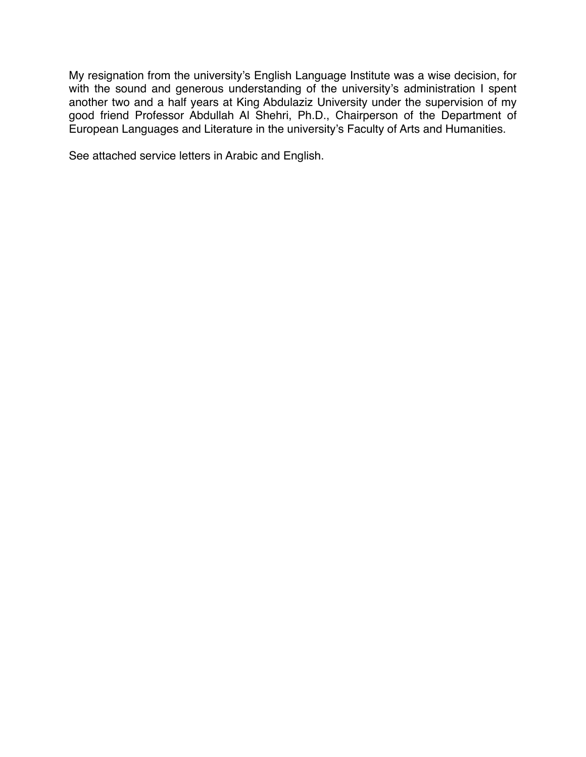My resignation from the university's English Language Institute was a wise decision, for with the sound and generous understanding of the university's administration I spent another two and a half years at King Abdulaziz University under the supervision of my good friend Professor Abdullah Al Shehri, Ph.D., Chairperson of the Department of European Languages and Literature in the university's Faculty of Arts and Humanities.

See attached service letters in Arabic and English.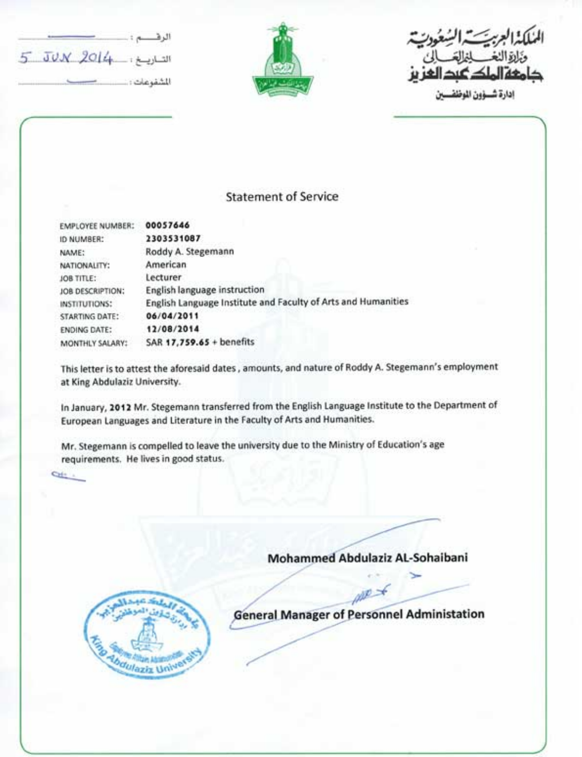| التساويسغ : 4 JUN 2014 |  |
|------------------------|--|
|                        |  |

 $rac{1}{2}$ 



دارة شسؤون الموضف

#### **Statement of Service**

| EMPLOYEE NUMBER:      | 00057646                                                      |
|-----------------------|---------------------------------------------------------------|
| ID NUMBER:            | 2303531087                                                    |
| NAME:                 | Roddy A. Stegemann                                            |
| NATIONALITY:          | American                                                      |
| <b>JOB TITLE:</b>     | Lecturer                                                      |
| JOB DESCRIPTION:      | <b>English language instruction</b>                           |
| INSTITUTIONS:         | English Language Institute and Faculty of Arts and Humanities |
| <b>STARTING DATE:</b> | 06/04/2011                                                    |
| <b>ENDING DATE:</b>   | 12/08/2014                                                    |
| MONTHLY SALARY:       | SAR 17,759.65 + benefits                                      |

This letter is to attest the aforesaid dates, amounts, and nature of Roddy A. Stegemann's employment at King Abdulaziz University.

In January, 2012 Mr. Stegemann transferred from the English Language Institute to the Department of European Languages and Literature in the Faculty of Arts and Humanities.

Mr. Stegemann is compelled to leave the university due to the Ministry of Education's age requirements. He lives in good status.

# Mohammed Abdulaziz AL-Sohaibani



**General Manager of Personnel Administation**